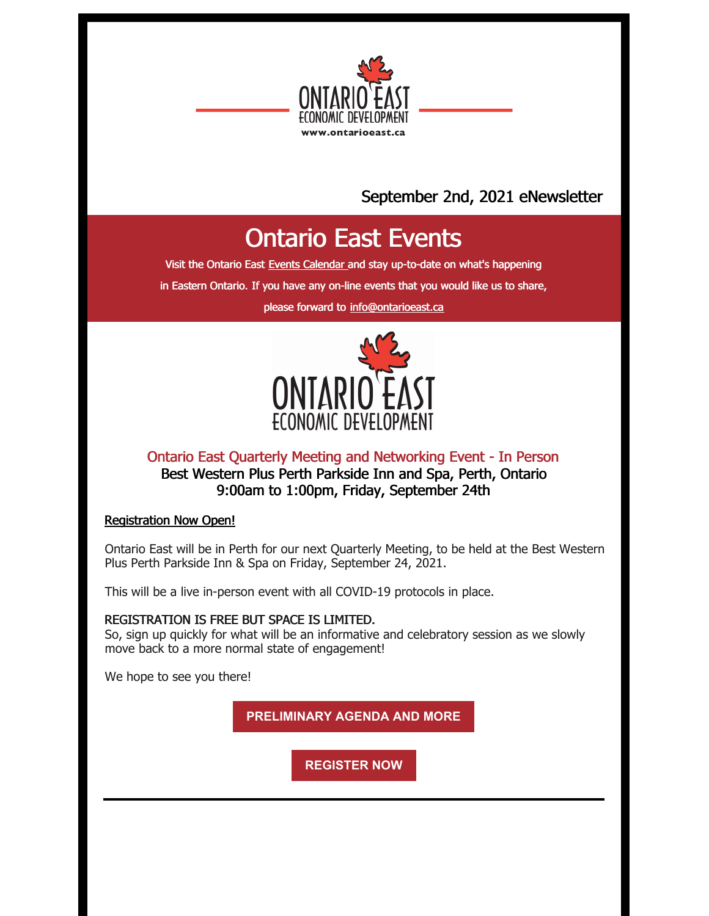

## September 2nd, 2021 eNewsletter

# Ontario East Events

Visit the Ontario East Events [Calendar](https://ontarioeast.ca/events) and stay up-to-date on what's happening

in Eastern Ontario. If you have any on-line events that you would like us to share,

please forward to [info@ontarioeast.ca](mailto:info@ontarioeast.ca)



## Ontario East Quarterly Meeting and Networking Event - In Person Best Western Plus Perth Parkside Inn and Spa, Perth, Ontario 9:00am to 1:00pm, Friday, September 24th

#### Registration Now Open!

Ontario East will be in Perth for our next Quarterly Meeting, to be held at the Best Western Plus Perth Parkside Inn & Spa on Friday, September 24, 2021.

This will be a live in-person event with all COVID-19 protocols in place.

## REGISTRATION IS FREE BUT SPACE IS LIMITED.

So, sign up quickly for what will be an informative and celebratory session as we slowly move back to a more normal state of engagement!

We hope to see you there!

**[PRELIMINARY](https://ontarioeast.ca/events/ontario-east-quarterly-meeting-and-networking-event-0) AGENDA AND MORE**

**[REGISTER](https://www.eventbrite.ca/e/ontario-east-economic-development-quarterly-meeting-networking-event-registration-100014046706) NOW**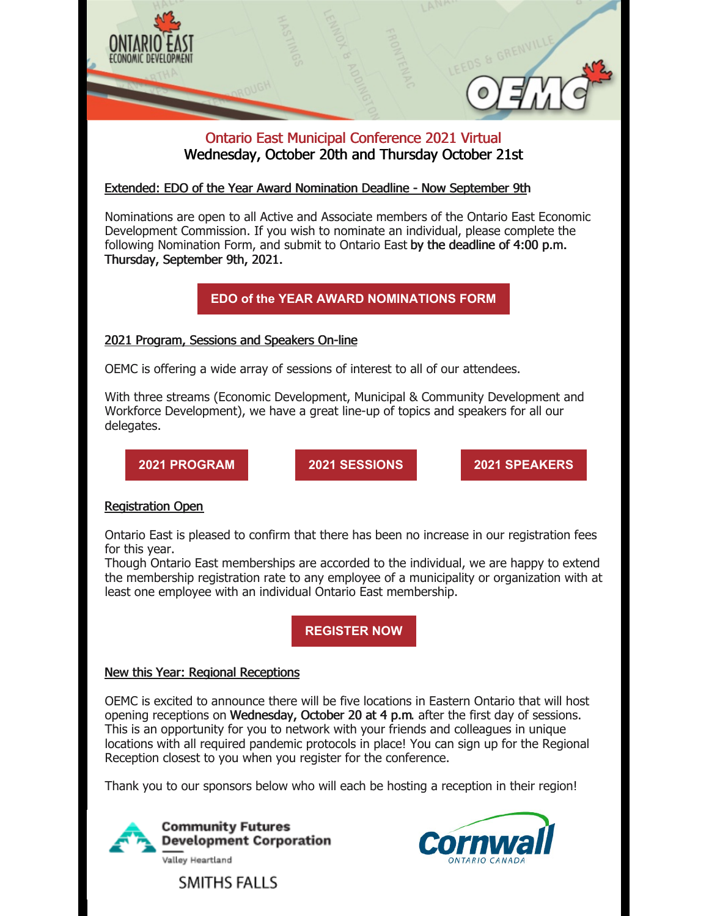

## Ontario East Municipal Conference 2021 Virtual Wednesday, October 20th and Thursday October 21st

Extended: EDO of the Year Award Nomination Deadline - Now September 9th

Nominations are open to all Active and Associate members of the Ontario East Economic Development Commission. If you wish to nominate an individual, please complete the following Nomination Form, and submit to Ontario East by the deadline of 4:00 p.m. Thursday, September 9th, 2021.

**EDO of the YEAR AWARD [NOMINATIONS](https://files.constantcontact.com/35c7e81d001/b10a7c6b-cd3e-47b8-b6ed-32906bbf946f.pdf?rdr=true) FORM**

## 2021 Program, Sessions and Speakers On-line

OEMC is offering a wide array of sessions of interest to all of our attendees.

With three streams (Economic Development, Municipal & Community Development and Workforce Development), we have a great line-up of topics and speakers for all our delegates.

**2021 [PROGRAM](https://oemc.ca/2021-program/) 2021 [SESSIONS](https://oemc.ca/session-descriptions-2021/) 2021 [SPEAKERS](https://oemc.ca/2021-speakers/)**

## Registration Open

Ontario East is pleased to confirm that there has been no increase in our registration fees for this year.

Though Ontario East memberships are accorded to the individual, we are happy to extend the membership registration rate to any employee of a municipality or organization with at least one employee with an individual Ontario East membership.

**[REGISTER](https://oemc.ca/2021-registration/) NOW**

## New this Year: Regional Receptions

OEMC is excited to announce there will be five locations in Eastern Ontario that will host opening receptions on Wednesday, October 20 at 4 p.m. after the first day of sessions. This is an opportunity for you to network with your friends and colleagues in unique locations with all required pandemic protocols in place! You can sign up for the Regional Reception closest to you when you register for the conference.

Thank you to our sponsors below who will each be hosting a reception in their region!



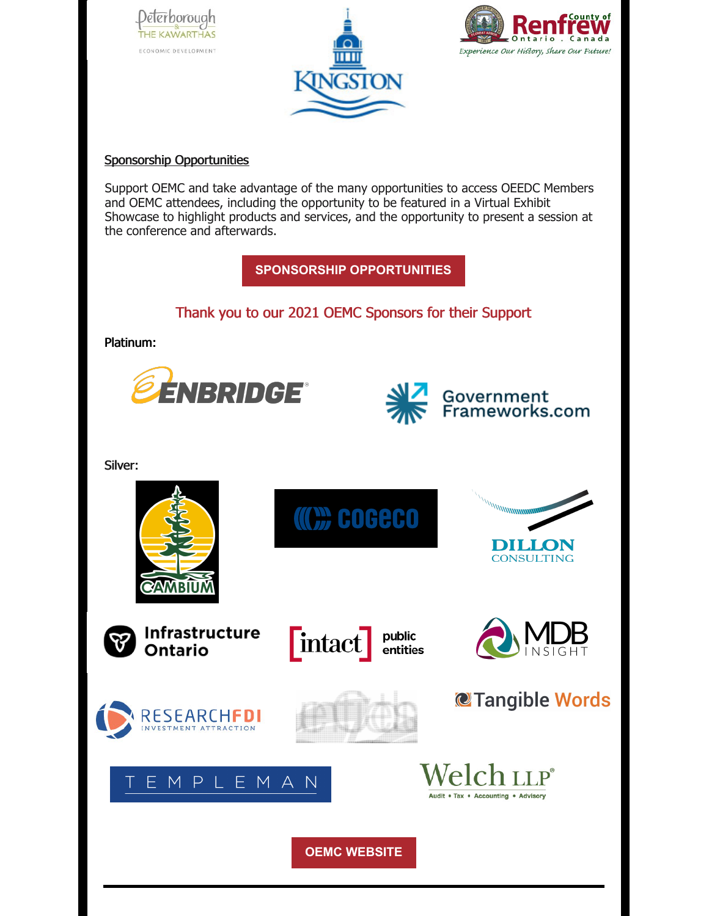





#### Sponsorship Opportunities

Support OEMC and take advantage of the many opportunities to access OEEDC Members and OEMC attendees, including the opportunity to be featured in a Virtual Exhibit Showcase to highlight products and services, and the opportunity to present a session at the conference and afterwards.

**SPONSORSHIP [OPPORTUNITIES](https://oemc.ca/2021-sponsorship-opportunities/)**

## Thank you to our 2021 OEMC Sponsors for their Support

Platinum:





Government<br>Frameworks.com

Silver:

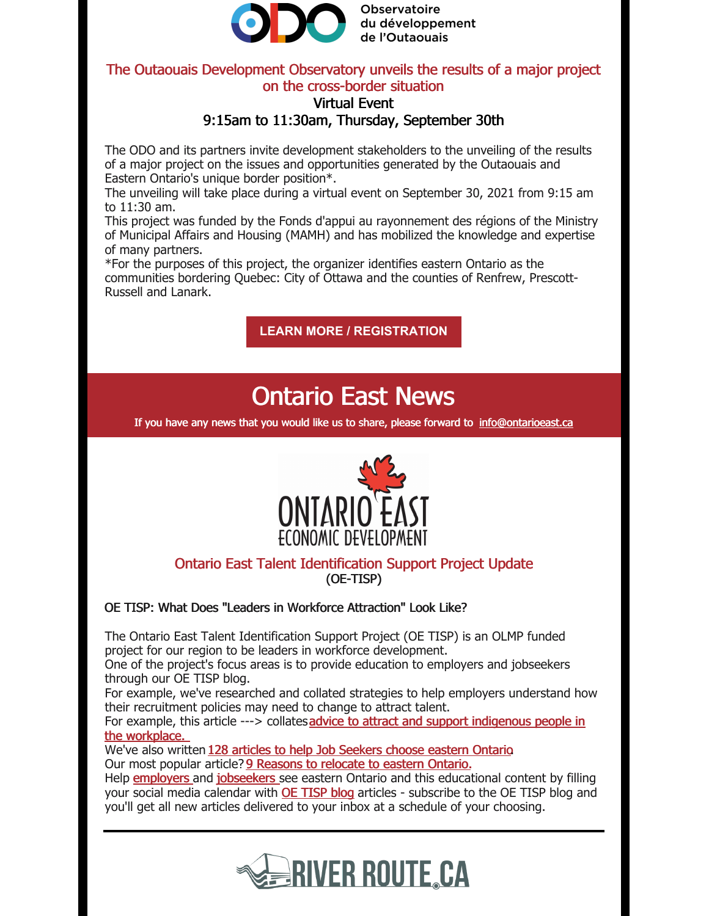

**Observatoire** du développement de l'Outaouais

## The Outaouais Development Observatory unveils the results of a major project on the cross-border situation

## Virtual Event 9:15am to 11:30am, Thursday, September 30th

The ODO and its partners invite development stakeholders to the unveiling of the results of a major project on the issues and opportunities generated by the Outaouais and Eastern Ontario's unique border position\*.

The unveiling will take place during a virtual event on September 30, 2021 from 9:15 am to 11:30 am.

This project was funded by the Fonds d'appui au rayonnement des régions of the Ministry of Municipal Affairs and Housing (MAMH) and has mobilized the knowledge and expertise of many partners.

\*For the purposes of this project, the organizer identifies eastern Ontario as the communities bordering Quebec: City of Ottawa and the counties of Renfrew, Prescott-Russell and Lanark.

**LEARN MORE / [REGISTRATION](https://ontarioeast.ca/events/outaouais-development-observatory-unveils-results-major-project-cross-border-situation)**

## Ontario East News

If you have any news that you would like us to share, please forward to [info@ontarioeast.ca](mailto:info@ontarioeast.ca)



## Ontario East Talent Identification Support Project Update (OE-TISP)

OE TISP: What Does "Leaders in Workforce Attraction" Look Like?

The Ontario East Talent Identification Support Project (OE TISP) is an OLMP funded project for our region to be leaders in workforce development.

One of the project's focus areas is to provide education to employers and jobseekers through our OE TISP blog.

For example, we've researched and collated strategies to help employers understand how their recruitment policies may need to change to attract talent.

For example, this article ---> [collatesadvice](https://blog.ontarioeast.ca/working-with-indigenous-peoples) to attract and support indigenous people in the workplace.

We've also written 128 articles to help Job [Seekers](https://blog.ontarioeast.ca/tag/for-job-seekers) choose eastern Ontario. Our most popular article? 9 [Reasons](https://blog.ontarioeast.ca/best-places-to-live-outside-of-toronto-9-powerful-reasons-to-relocate) to relocate to eastern Ontario.

Help [employers](https://blog.ontarioeast.ca/tag/for-employers) and [jobseekers](https://blog.ontarioeast.ca/tag/for-job-seekers) see eastern Ontario and this educational content by filling your social media calendar with **OE [TISP](https://blog.ontarioeast.ca/) blog** articles - subscribe to the OE TISP blog and you'll get all new articles delivered to your inbox at a schedule of your choosing.

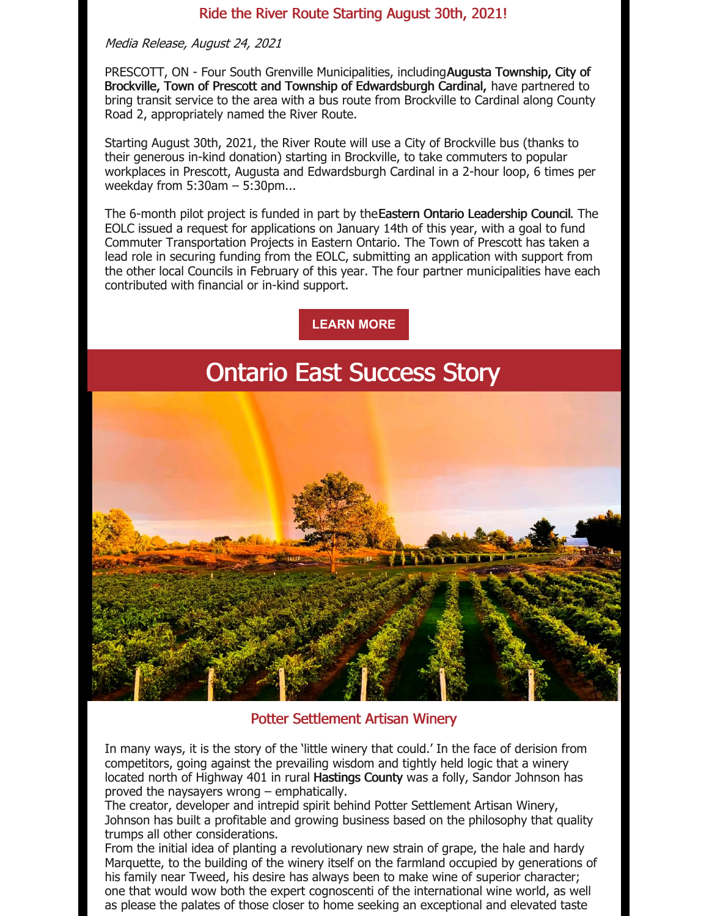### Ride the River Route Starting August 30th, 2021!

#### Media Release, August 24, 2021

PRESCOTT, ON - Four South Grenville Municipalities, includingAugusta Township, City of Brockville, Town of Prescott and Township of Edwardsburgh Cardinal, have partnered to bring transit service to the area with a bus route from Brockville to Cardinal along County Road 2, appropriately named the River Route.

Starting August 30th, 2021, the River Route will use a City of Brockville bus (thanks to their generous in-kind donation) starting in Brockville, to take commuters to popular workplaces in Prescott, Augusta and Edwardsburgh Cardinal in a 2-hour loop, 6 times per weekday from 5:30am – 5:30pm...

The 6-month pilot project is funded in part by theEastern Ontario Leadership Council. The EOLC issued a request for applications on January 14th of this year, with a goal to fund Commuter Transportation Projects in Eastern Ontario. The Town of Prescott has taken a lead role in securing funding from the EOLC, submitting an application with support from the other local Councils in February of this year. The four partner municipalities have each contributed with financial or in-kind support.

**[LEARN](https://ontarioeast.ca/news/ride-river-route-starting-august-30th-2021) MORE**

## Ontario East Success Story



## Potter Settlement Artisan Winery

In many ways, it is the story of the 'little winery that could.' In the face of derision from competitors, going against the prevailing wisdom and tightly held logic that a winery located north of Highway 401 in rural Hastings County was a folly, Sandor Johnson has proved the naysayers wrong – emphatically.

The creator, developer and intrepid spirit behind Potter Settlement Artisan Winery, Johnson has built a profitable and growing business based on the philosophy that quality trumps all other considerations.

From the initial idea of planting a revolutionary new strain of grape, the hale and hardy Marquette, to the building of the winery itself on the farmland occupied by generations of his family near Tweed, his desire has always been to make wine of superior character; one that would wow both the expert cognoscenti of the international wine world, as well as please the palates of those closer to home seeking an exceptional and elevated taste